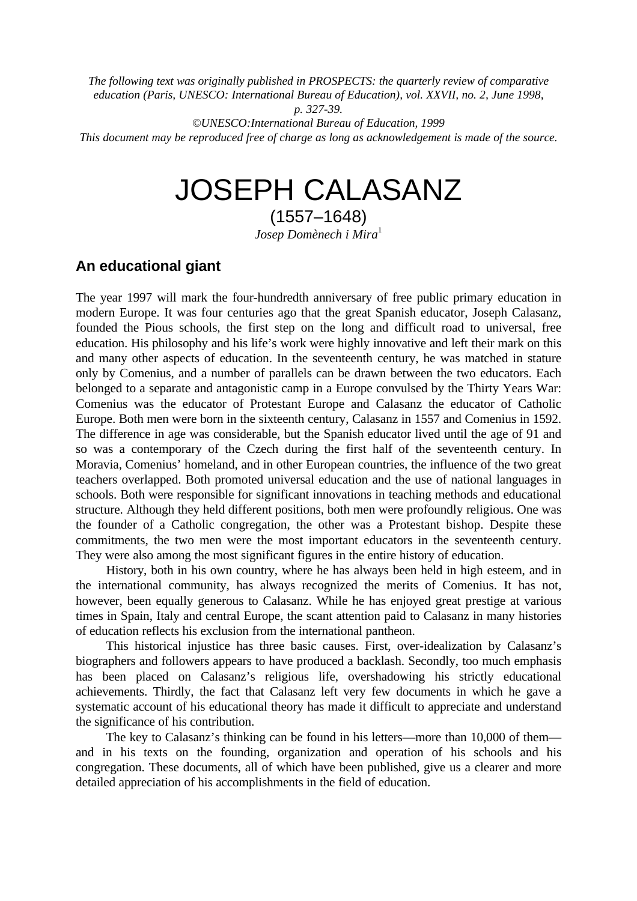*The following text was originally published in PROSPECTS: the quarterly review of comparative education (Paris, UNESCO: International Bureau of Education), vol. XXVII, no. 2, June 1998,*

*p. 327-39.*

*©UNESCO:International Bureau of Education, 1999 This document may be reproduced free of charge as long as acknowledgement is made of the source.*

# JOSEPH CALASANZ

(1557–1648) *Josep Domènech i Mira*<sup>1</sup>

### **An educational giant**

The year 1997 will mark the four-hundredth anniversary of free public primary education in modern Europe. It was four centuries ago that the great Spanish educator, Joseph Calasanz, founded the Pious schools, the first step on the long and difficult road to universal, free education. His philosophy and his life's work were highly innovative and left their mark on this and many other aspects of education. In the seventeenth century, he was matched in stature only by Comenius, and a number of parallels can be drawn between the two educators. Each belonged to a separate and antagonistic camp in a Europe convulsed by the Thirty Years War: Comenius was the educator of Protestant Europe and Calasanz the educator of Catholic Europe. Both men were born in the sixteenth century, Calasanz in 1557 and Comenius in 1592. The difference in age was considerable, but the Spanish educator lived until the age of 91 and so was a contemporary of the Czech during the first half of the seventeenth century. In Moravia, Comenius' homeland, and in other European countries, the influence of the two great teachers overlapped. Both promoted universal education and the use of national languages in schools. Both were responsible for significant innovations in teaching methods and educational structure. Although they held different positions, both men were profoundly religious. One was the founder of a Catholic congregation, the other was a Protestant bishop. Despite these commitments, the two men were the most important educators in the seventeenth century. They were also among the most significant figures in the entire history of education.

History, both in his own country, where he has always been held in high esteem, and in the international community, has always recognized the merits of Comenius. It has not, however, been equally generous to Calasanz. While he has enjoyed great prestige at various times in Spain, Italy and central Europe, the scant attention paid to Calasanz in many histories of education reflects his exclusion from the international pantheon.

This historical injustice has three basic causes. First, over-idealization by Calasanz's biographers and followers appears to have produced a backlash. Secondly, too much emphasis has been placed on Calasanz's religious life, overshadowing his strictly educational achievements. Thirdly, the fact that Calasanz left very few documents in which he gave a systematic account of his educational theory has made it difficult to appreciate and understand the significance of his contribution.

The key to Calasanz's thinking can be found in his letters—more than 10,000 of them and in his texts on the founding, organization and operation of his schools and his congregation. These documents, all of which have been published, give us a clearer and more detailed appreciation of his accomplishments in the field of education.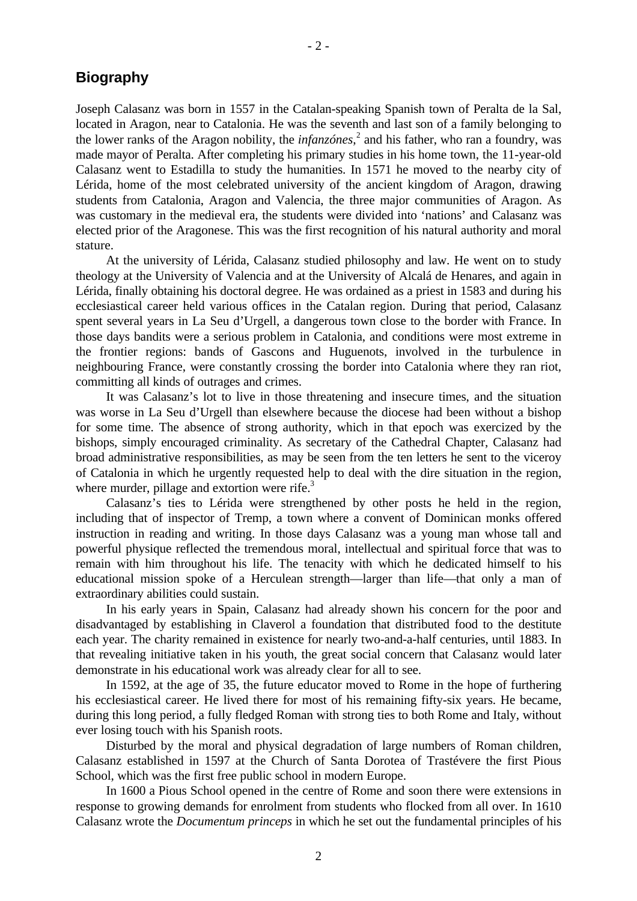## **Biography**

Joseph Calasanz was born in 1557 in the Catalan-speaking Spanish town of Peralta de la Sal, located in Aragon, near to Catalonia. He was the seventh and last son of a family belonging to the lower ranks of the Aragon nobility, the *infanzónes*, 2 and his father, who ran a foundry, was made mayor of Peralta. After completing his primary studies in his home town, the 11-year-old Calasanz went to Estadilla to study the humanities. In 1571 he moved to the nearby city of Lérida, home of the most celebrated university of the ancient kingdom of Aragon, drawing students from Catalonia, Aragon and Valencia, the three major communities of Aragon. As was customary in the medieval era, the students were divided into 'nations' and Calasanz was elected prior of the Aragonese. This was the first recognition of his natural authority and moral stature.

At the university of Lérida, Calasanz studied philosophy and law. He went on to study theology at the University of Valencia and at the University of Alcalá de Henares, and again in Lérida, finally obtaining his doctoral degree. He was ordained as a priest in 1583 and during his ecclesiastical career held various offices in the Catalan region. During that period, Calasanz spent several years in La Seu d'Urgell, a dangerous town close to the border with France. In those days bandits were a serious problem in Catalonia, and conditions were most extreme in the frontier regions: bands of Gascons and Huguenots, involved in the turbulence in neighbouring France, were constantly crossing the border into Catalonia where they ran riot, committing all kinds of outrages and crimes.

It was Calasanz's lot to live in those threatening and insecure times, and the situation was worse in La Seu d'Urgell than elsewhere because the diocese had been without a bishop for some time. The absence of strong authority, which in that epoch was exercized by the bishops, simply encouraged criminality. As secretary of the Cathedral Chapter, Calasanz had broad administrative responsibilities, as may be seen from the ten letters he sent to the viceroy of Catalonia in which he urgently requested help to deal with the dire situation in the region, where murder, pillage and extortion were rife. $3$ 

Calasanz's ties to Lérida were strengthened by other posts he held in the region, including that of inspector of Tremp, a town where a convent of Dominican monks offered instruction in reading and writing. In those days Calasanz was a young man whose tall and powerful physique reflected the tremendous moral, intellectual and spiritual force that was to remain with him throughout his life. The tenacity with which he dedicated himself to his educational mission spoke of a Herculean strength—larger than life—that only a man of extraordinary abilities could sustain.

In his early years in Spain, Calasanz had already shown his concern for the poor and disadvantaged by establishing in Claverol a foundation that distributed food to the destitute each year. The charity remained in existence for nearly two-and-a-half centuries, until 1883. In that revealing initiative taken in his youth, the great social concern that Calasanz would later demonstrate in his educational work was already clear for all to see.

In 1592, at the age of 35, the future educator moved to Rome in the hope of furthering his ecclesiastical career. He lived there for most of his remaining fifty-six years. He became, during this long period, a fully fledged Roman with strong ties to both Rome and Italy, without ever losing touch with his Spanish roots.

Disturbed by the moral and physical degradation of large numbers of Roman children, Calasanz established in 1597 at the Church of Santa Dorotea of Trastévere the first Pious School, which was the first free public school in modern Europe.

In 1600 a Pious School opened in the centre of Rome and soon there were extensions in response to growing demands for enrolment from students who flocked from all over. In 1610 Calasanz wrote the *Documentum princeps* in which he set out the fundamental principles of his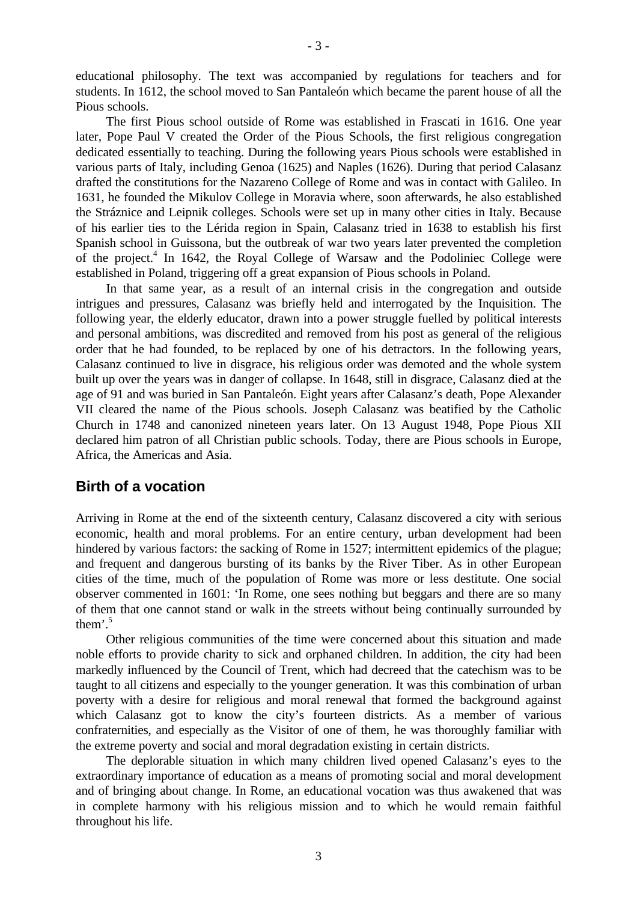educational philosophy. The text was accompanied by regulations for teachers and for students. In 1612, the school moved to San Pantaleón which became the parent house of all the Pious schools.

The first Pious school outside of Rome was established in Frascati in 1616. One year later, Pope Paul V created the Order of the Pious Schools, the first religious congregation dedicated essentially to teaching. During the following years Pious schools were established in various parts of Italy, including Genoa (1625) and Naples (1626). During that period Calasanz drafted the constitutions for the Nazareno College of Rome and was in contact with Galileo. In 1631, he founded the Mikulov College in Moravia where, soon afterwards, he also established the Stráznice and Leipnik colleges. Schools were set up in many other cities in Italy. Because of his earlier ties to the Lérida region in Spain, Calasanz tried in 1638 to establish his first Spanish school in Guissona, but the outbreak of war two years later prevented the completion of the project.<sup>4</sup> In 1642, the Royal College of Warsaw and the Podoliniec College were established in Poland, triggering off a great expansion of Pious schools in Poland.

In that same year, as a result of an internal crisis in the congregation and outside intrigues and pressures, Calasanz was briefly held and interrogated by the Inquisition. The following year, the elderly educator, drawn into a power struggle fuelled by political interests and personal ambitions, was discredited and removed from his post as general of the religious order that he had founded, to be replaced by one of his detractors. In the following years, Calasanz continued to live in disgrace, his religious order was demoted and the whole system built up over the years was in danger of collapse. In 1648, still in disgrace, Calasanz died at the age of 91 and was buried in San Pantaleón. Eight years after Calasanz's death, Pope Alexander VII cleared the name of the Pious schools. Joseph Calasanz was beatified by the Catholic Church in 1748 and canonized nineteen years later. On 13 August 1948, Pope Pious XII declared him patron of all Christian public schools. Today, there are Pious schools in Europe, Africa, the Americas and Asia.

#### **Birth of a vocation**

Arriving in Rome at the end of the sixteenth century, Calasanz discovered a city with serious economic, health and moral problems. For an entire century, urban development had been hindered by various factors: the sacking of Rome in 1527; intermittent epidemics of the plague; and frequent and dangerous bursting of its banks by the River Tiber. As in other European cities of the time, much of the population of Rome was more or less destitute. One social observer commented in 1601: 'In Rome, one sees nothing but beggars and there are so many of them that one cannot stand or walk in the streets without being continually surrounded by them'.<sup>5</sup>

Other religious communities of the time were concerned about this situation and made noble efforts to provide charity to sick and orphaned children. In addition, the city had been markedly influenced by the Council of Trent, which had decreed that the catechism was to be taught to all citizens and especially to the younger generation. It was this combination of urban poverty with a desire for religious and moral renewal that formed the background against which Calasanz got to know the city's fourteen districts. As a member of various confraternities, and especially as the Visitor of one of them, he was thoroughly familiar with the extreme poverty and social and moral degradation existing in certain districts.

The deplorable situation in which many children lived opened Calasanz's eyes to the extraordinary importance of education as a means of promoting social and moral development and of bringing about change. In Rome, an educational vocation was thus awakened that was in complete harmony with his religious mission and to which he would remain faithful throughout his life.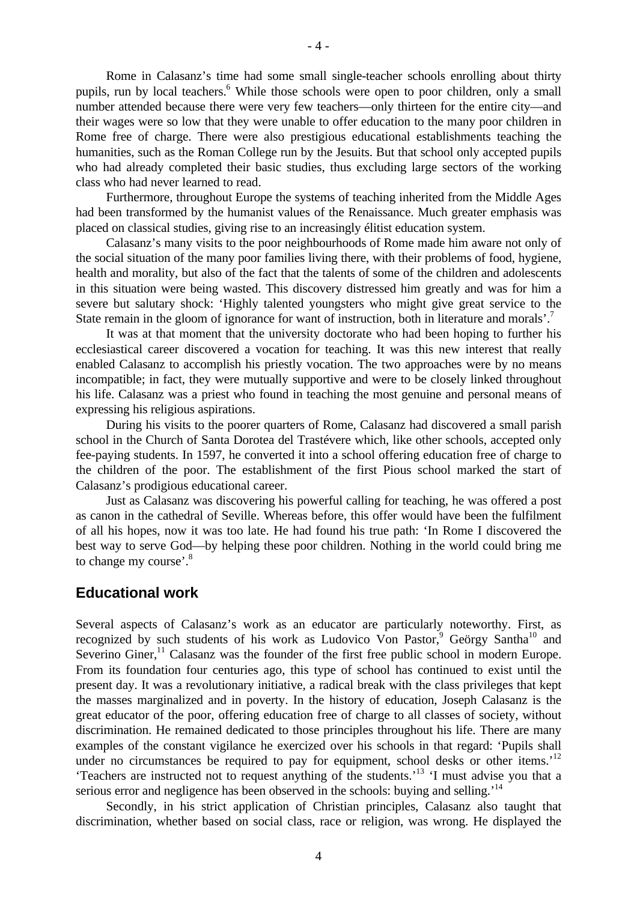Rome in Calasanz's time had some small single-teacher schools enrolling about thirty pupils, run by local teachers.<sup>6</sup> While those schools were open to poor children, only a small number attended because there were very few teachers—only thirteen for the entire city—and their wages were so low that they were unable to offer education to the many poor children in Rome free of charge. There were also prestigious educational establishments teaching the humanities, such as the Roman College run by the Jesuits. But that school only accepted pupils who had already completed their basic studies, thus excluding large sectors of the working class who had never learned to read.

Furthermore, throughout Europe the systems of teaching inherited from the Middle Ages had been transformed by the humanist values of the Renaissance. Much greater emphasis was placed on classical studies, giving rise to an increasingly élitist education system.

Calasanz's many visits to the poor neighbourhoods of Rome made him aware not only of the social situation of the many poor families living there, with their problems of food, hygiene, health and morality, but also of the fact that the talents of some of the children and adolescents in this situation were being wasted. This discovery distressed him greatly and was for him a severe but salutary shock: 'Highly talented youngsters who might give great service to the State remain in the gloom of ignorance for want of instruction, both in literature and morals'.<sup>7</sup>

It was at that moment that the university doctorate who had been hoping to further his ecclesiastical career discovered a vocation for teaching. It was this new interest that really enabled Calasanz to accomplish his priestly vocation. The two approaches were by no means incompatible; in fact, they were mutually supportive and were to be closely linked throughout his life. Calasanz was a priest who found in teaching the most genuine and personal means of expressing his religious aspirations.

During his visits to the poorer quarters of Rome, Calasanz had discovered a small parish school in the Church of Santa Dorotea del Trastévere which, like other schools, accepted only fee-paying students. In 1597, he converted it into a school offering education free of charge to the children of the poor. The establishment of the first Pious school marked the start of Calasanz's prodigious educational career.

Just as Calasanz was discovering his powerful calling for teaching, he was offered a post as canon in the cathedral of Seville. Whereas before, this offer would have been the fulfilment of all his hopes, now it was too late. He had found his true path: 'In Rome I discovered the best way to serve God—by helping these poor children. Nothing in the world could bring me to change my course'.<sup>8</sup>

#### **Educational work**

Several aspects of Calasanz's work as an educator are particularly noteworthy. First, as recognized by such students of his work as Ludovico Von Pastor,<sup>9</sup> Geörgy Santha<sup>10</sup> and Severino Giner,<sup>11</sup> Calasanz was the founder of the first free public school in modern Europe. From its foundation four centuries ago, this type of school has continued to exist until the present day. It was a revolutionary initiative, a radical break with the class privileges that kept the masses marginalized and in poverty. In the history of education, Joseph Calasanz is the great educator of the poor, offering education free of charge to all classes of society, without discrimination. He remained dedicated to those principles throughout his life. There are many examples of the constant vigilance he exercized over his schools in that regard: 'Pupils shall under no circumstances be required to pay for equipment, school desks or other items.<sup>12</sup> 'Teachers are instructed not to request anything of the students.'<sup>13</sup> 'I must advise you that a serious error and negligence has been observed in the schools: buying and selling.<sup>14</sup>

Secondly, in his strict application of Christian principles, Calasanz also taught that discrimination, whether based on social class, race or religion, was wrong. He displayed the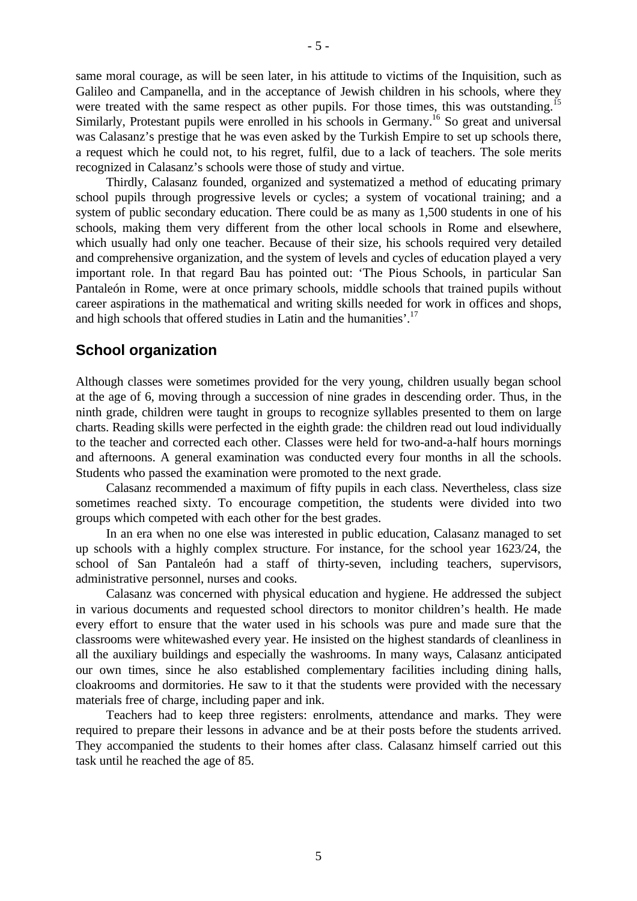same moral courage, as will be seen later, in his attitude to victims of the Inquisition, such as Galileo and Campanella, and in the acceptance of Jewish children in his schools, where they were treated with the same respect as other pupils. For those times, this was outstanding.<sup>15</sup> Similarly, Protestant pupils were enrolled in his schools in Germany.<sup>16</sup> So great and universal was Calasanz's prestige that he was even asked by the Turkish Empire to set up schools there, a request which he could not, to his regret, fulfil, due to a lack of teachers. The sole merits recognized in Calasanz's schools were those of study and virtue.

Thirdly, Calasanz founded, organized and systematized a method of educating primary school pupils through progressive levels or cycles; a system of vocational training; and a system of public secondary education. There could be as many as 1,500 students in one of his schools, making them very different from the other local schools in Rome and elsewhere, which usually had only one teacher. Because of their size, his schools required very detailed and comprehensive organization, and the system of levels and cycles of education played a very important role. In that regard Bau has pointed out: 'The Pious Schools, in particular San Pantaleón in Rome, were at once primary schools, middle schools that trained pupils without career aspirations in the mathematical and writing skills needed for work in offices and shops, and high schools that offered studies in Latin and the humanities'.<sup>17</sup>

# **School organization**

Although classes were sometimes provided for the very young, children usually began school at the age of 6, moving through a succession of nine grades in descending order. Thus, in the ninth grade, children were taught in groups to recognize syllables presented to them on large charts. Reading skills were perfected in the eighth grade: the children read out loud individually to the teacher and corrected each other. Classes were held for two-and-a-half hours mornings and afternoons. A general examination was conducted every four months in all the schools. Students who passed the examination were promoted to the next grade.

Calasanz recommended a maximum of fifty pupils in each class. Nevertheless, class size sometimes reached sixty. To encourage competition, the students were divided into two groups which competed with each other for the best grades.

In an era when no one else was interested in public education, Calasanz managed to set up schools with a highly complex structure. For instance, for the school year 1623/24, the school of San Pantaleón had a staff of thirty-seven, including teachers, supervisors, administrative personnel, nurses and cooks.

Calasanz was concerned with physical education and hygiene. He addressed the subject in various documents and requested school directors to monitor children's health. He made every effort to ensure that the water used in his schools was pure and made sure that the classrooms were whitewashed every year. He insisted on the highest standards of cleanliness in all the auxiliary buildings and especially the washrooms. In many ways, Calasanz anticipated our own times, since he also established complementary facilities including dining halls, cloakrooms and dormitories. He saw to it that the students were provided with the necessary materials free of charge, including paper and ink.

Teachers had to keep three registers: enrolments, attendance and marks. They were required to prepare their lessons in advance and be at their posts before the students arrived. They accompanied the students to their homes after class. Calasanz himself carried out this task until he reached the age of 85.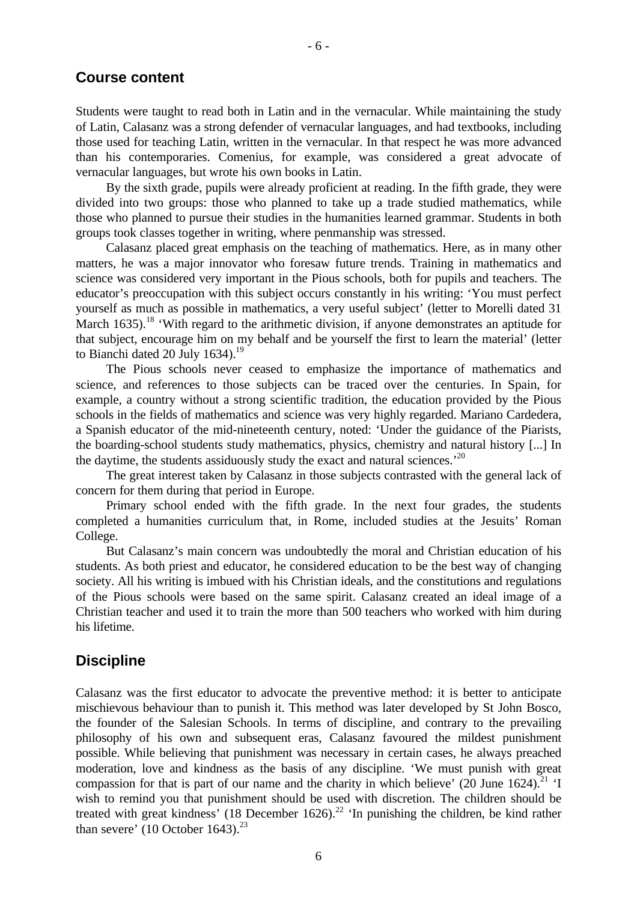#### **Course content**

Students were taught to read both in Latin and in the vernacular. While maintaining the study of Latin, Calasanz was a strong defender of vernacular languages, and had textbooks, including those used for teaching Latin, written in the vernacular. In that respect he was more advanced than his contemporaries. Comenius, for example, was considered a great advocate of vernacular languages, but wrote his own books in Latin.

By the sixth grade, pupils were already proficient at reading. In the fifth grade, they were divided into two groups: those who planned to take up a trade studied mathematics, while those who planned to pursue their studies in the humanities learned grammar. Students in both groups took classes together in writing, where penmanship was stressed.

Calasanz placed great emphasis on the teaching of mathematics. Here, as in many other matters, he was a major innovator who foresaw future trends. Training in mathematics and science was considered very important in the Pious schools, both for pupils and teachers. The educator's preoccupation with this subject occurs constantly in his writing: 'You must perfect yourself as much as possible in mathematics, a very useful subject' (letter to Morelli dated 31 March 1635).<sup>18</sup> 'With regard to the arithmetic division, if anyone demonstrates an aptitude for that subject, encourage him on my behalf and be yourself the first to learn the material' (letter to Bianchi dated 20 July 1634).<sup>19</sup>

The Pious schools never ceased to emphasize the importance of mathematics and science, and references to those subjects can be traced over the centuries. In Spain, for example, a country without a strong scientific tradition, the education provided by the Pious schools in the fields of mathematics and science was very highly regarded. Mariano Cardedera, a Spanish educator of the mid-nineteenth century, noted: 'Under the guidance of the Piarists, the boarding-school students study mathematics, physics, chemistry and natural history [...] In the daytime, the students assiduously study the exact and natural sciences.<sup>20</sup>

The great interest taken by Calasanz in those subjects contrasted with the general lack of concern for them during that period in Europe.

Primary school ended with the fifth grade. In the next four grades, the students completed a humanities curriculum that, in Rome, included studies at the Jesuits' Roman College.

But Calasanz's main concern was undoubtedly the moral and Christian education of his students. As both priest and educator, he considered education to be the best way of changing society. All his writing is imbued with his Christian ideals, and the constitutions and regulations of the Pious schools were based on the same spirit. Calasanz created an ideal image of a Christian teacher and used it to train the more than 500 teachers who worked with him during his lifetime.

## **Discipline**

Calasanz was the first educator to advocate the preventive method: it is better to anticipate mischievous behaviour than to punish it. This method was later developed by St John Bosco, the founder of the Salesian Schools. In terms of discipline, and contrary to the prevailing philosophy of his own and subsequent eras, Calasanz favoured the mildest punishment possible. While believing that punishment was necessary in certain cases, he always preached moderation, love and kindness as the basis of any discipline. 'We must punish with great compassion for that is part of our name and the charity in which believe'  $(20 \text{ June } 1624)$ .<sup>21</sup> 'I wish to remind you that punishment should be used with discretion. The children should be treated with great kindness' (18 December 1626).<sup>22</sup> 'In punishing the children, be kind rather than severe' (10 October 1643). $^{23}$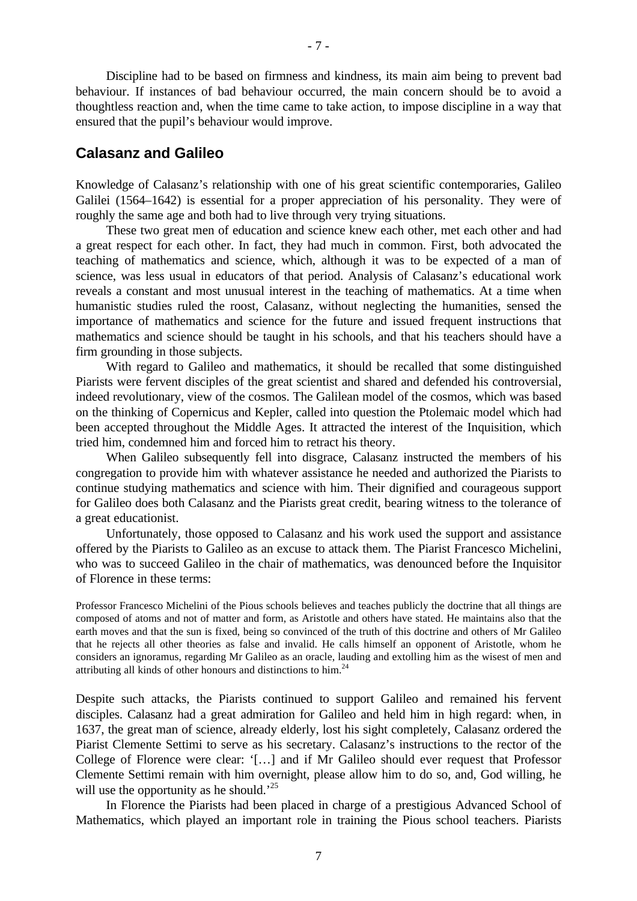Discipline had to be based on firmness and kindness, its main aim being to prevent bad behaviour. If instances of bad behaviour occurred, the main concern should be to avoid a thoughtless reaction and, when the time came to take action, to impose discipline in a way that ensured that the pupil's behaviour would improve.

#### **Calasanz and Galileo**

Knowledge of Calasanz's relationship with one of his great scientific contemporaries, Galileo Galilei (1564–1642) is essential for a proper appreciation of his personality. They were of roughly the same age and both had to live through very trying situations.

These two great men of education and science knew each other, met each other and had a great respect for each other. In fact, they had much in common. First, both advocated the teaching of mathematics and science, which, although it was to be expected of a man of science, was less usual in educators of that period. Analysis of Calasanz's educational work reveals a constant and most unusual interest in the teaching of mathematics. At a time when humanistic studies ruled the roost, Calasanz, without neglecting the humanities, sensed the importance of mathematics and science for the future and issued frequent instructions that mathematics and science should be taught in his schools, and that his teachers should have a firm grounding in those subjects.

With regard to Galileo and mathematics, it should be recalled that some distinguished Piarists were fervent disciples of the great scientist and shared and defended his controversial, indeed revolutionary, view of the cosmos. The Galilean model of the cosmos, which was based on the thinking of Copernicus and Kepler, called into question the Ptolemaic model which had been accepted throughout the Middle Ages. It attracted the interest of the Inquisition, which tried him, condemned him and forced him to retract his theory.

When Galileo subsequently fell into disgrace, Calasanz instructed the members of his congregation to provide him with whatever assistance he needed and authorized the Piarists to continue studying mathematics and science with him. Their dignified and courageous support for Galileo does both Calasanz and the Piarists great credit, bearing witness to the tolerance of a great educationist.

Unfortunately, those opposed to Calasanz and his work used the support and assistance offered by the Piarists to Galileo as an excuse to attack them. The Piarist Francesco Michelini, who was to succeed Galileo in the chair of mathematics, was denounced before the Inquisitor of Florence in these terms:

Professor Francesco Michelini of the Pious schools believes and teaches publicly the doctrine that all things are composed of atoms and not of matter and form, as Aristotle and others have stated. He maintains also that the earth moves and that the sun is fixed, being so convinced of the truth of this doctrine and others of Mr Galileo that he rejects all other theories as false and invalid. He calls himself an opponent of Aristotle, whom he considers an ignoramus, regarding Mr Galileo as an oracle, lauding and extolling him as the wisest of men and attributing all kinds of other honours and distinctions to him.<sup>24</sup>

Despite such attacks, the Piarists continued to support Galileo and remained his fervent disciples. Calasanz had a great admiration for Galileo and held him in high regard: when, in 1637, the great man of science, already elderly, lost his sight completely, Calasanz ordered the Piarist Clemente Settimi to serve as his secretary. Calasanz's instructions to the rector of the College of Florence were clear: '[…] and if Mr Galileo should ever request that Professor Clemente Settimi remain with him overnight, please allow him to do so, and, God willing, he will use the opportunity as he should.<sup> $25$ </sup>

In Florence the Piarists had been placed in charge of a prestigious Advanced School of Mathematics, which played an important role in training the Pious school teachers. Piarists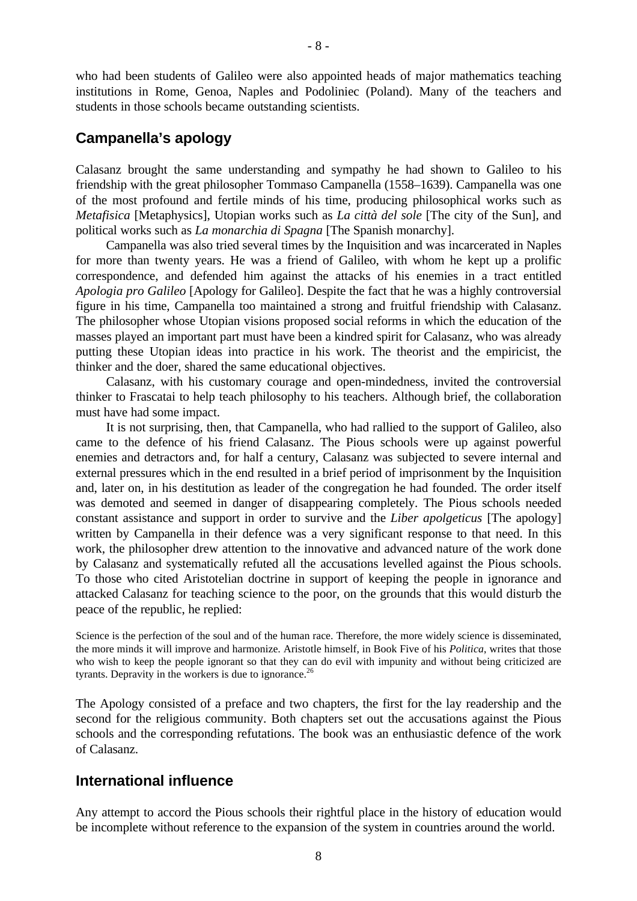who had been students of Galileo were also appointed heads of major mathematics teaching institutions in Rome, Genoa, Naples and Podoliniec (Poland). Many of the teachers and students in those schools became outstanding scientists.

# **Campanella's apology**

Calasanz brought the same understanding and sympathy he had shown to Galileo to his friendship with the great philosopher Tommaso Campanella (1558–1639). Campanella was one of the most profound and fertile minds of his time, producing philosophical works such as *Metafisica* [Metaphysics], Utopian works such as *La città del sole* [The city of the Sun], and political works such as *La monarchia di Spagna* [The Spanish monarchy].

Campanella was also tried several times by the Inquisition and was incarcerated in Naples for more than twenty years. He was a friend of Galileo, with whom he kept up a prolific correspondence, and defended him against the attacks of his enemies in a tract entitled *Apologia pro Galileo* [Apology for Galileo]. Despite the fact that he was a highly controversial figure in his time, Campanella too maintained a strong and fruitful friendship with Calasanz. The philosopher whose Utopian visions proposed social reforms in which the education of the masses played an important part must have been a kindred spirit for Calasanz, who was already putting these Utopian ideas into practice in his work. The theorist and the empiricist, the thinker and the doer, shared the same educational objectives.

Calasanz, with his customary courage and open-mindedness, invited the controversial thinker to Frascatai to help teach philosophy to his teachers. Although brief, the collaboration must have had some impact.

It is not surprising, then, that Campanella, who had rallied to the support of Galileo, also came to the defence of his friend Calasanz. The Pious schools were up against powerful enemies and detractors and, for half a century, Calasanz was subjected to severe internal and external pressures which in the end resulted in a brief period of imprisonment by the Inquisition and, later on, in his destitution as leader of the congregation he had founded. The order itself was demoted and seemed in danger of disappearing completely. The Pious schools needed constant assistance and support in order to survive and the *Liber apolgeticus* [The apology] written by Campanella in their defence was a very significant response to that need. In this work, the philosopher drew attention to the innovative and advanced nature of the work done by Calasanz and systematically refuted all the accusations levelled against the Pious schools. To those who cited Aristotelian doctrine in support of keeping the people in ignorance and attacked Calasanz for teaching science to the poor, on the grounds that this would disturb the peace of the republic, he replied:

Science is the perfection of the soul and of the human race. Therefore, the more widely science is disseminated, the more minds it will improve and harmonize. Aristotle himself, in Book Five of his *Politica*, writes that those who wish to keep the people ignorant so that they can do evil with impunity and without being criticized are tyrants. Depravity in the workers is due to ignorance.<sup>26</sup>

The Apology consisted of a preface and two chapters, the first for the lay readership and the second for the religious community. Both chapters set out the accusations against the Pious schools and the corresponding refutations. The book was an enthusiastic defence of the work of Calasanz.

# **International influence**

Any attempt to accord the Pious schools their rightful place in the history of education would be incomplete without reference to the expansion of the system in countries around the world.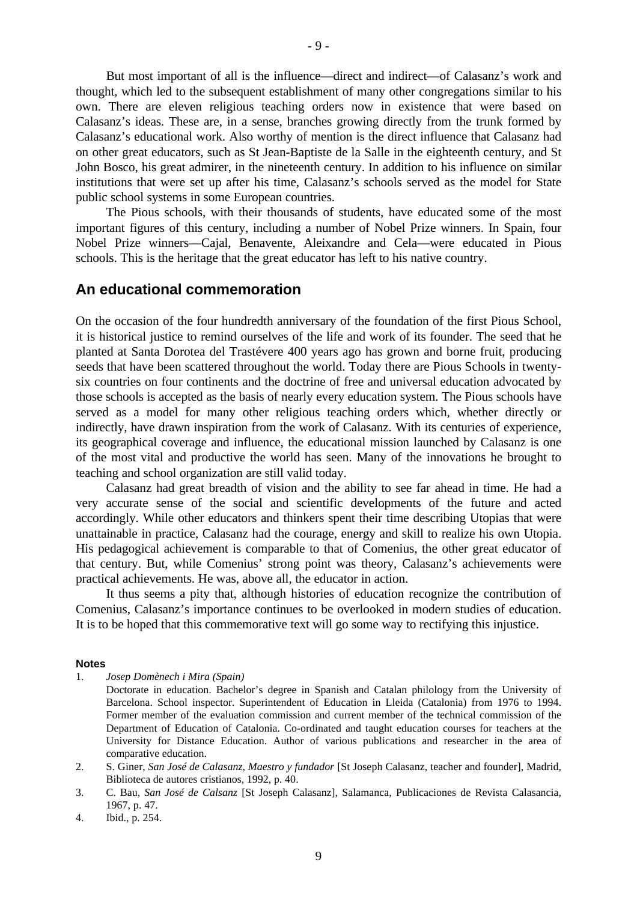But most important of all is the influence—direct and indirect—of Calasanz's work and thought, which led to the subsequent establishment of many other congregations similar to his own. There are eleven religious teaching orders now in existence that were based on Calasanz's ideas. These are, in a sense, branches growing directly from the trunk formed by Calasanz's educational work. Also worthy of mention is the direct influence that Calasanz had on other great educators, such as St Jean-Baptiste de la Salle in the eighteenth century, and St John Bosco, his great admirer, in the nineteenth century. In addition to his influence on similar institutions that were set up after his time, Calasanz's schools served as the model for State public school systems in some European countries.

The Pious schools, with their thousands of students, have educated some of the most important figures of this century, including a number of Nobel Prize winners. In Spain, four Nobel Prize winners—Cajal, Benavente, Aleixandre and Cela—were educated in Pious schools. This is the heritage that the great educator has left to his native country.

### **An educational commemoration**

On the occasion of the four hundredth anniversary of the foundation of the first Pious School, it is historical justice to remind ourselves of the life and work of its founder. The seed that he planted at Santa Dorotea del Trastévere 400 years ago has grown and borne fruit, producing seeds that have been scattered throughout the world. Today there are Pious Schools in twentysix countries on four continents and the doctrine of free and universal education advocated by those schools is accepted as the basis of nearly every education system. The Pious schools have served as a model for many other religious teaching orders which, whether directly or indirectly, have drawn inspiration from the work of Calasanz. With its centuries of experience, its geographical coverage and influence, the educational mission launched by Calasanz is one of the most vital and productive the world has seen. Many of the innovations he brought to teaching and school organization are still valid today.

Calasanz had great breadth of vision and the ability to see far ahead in time. He had a very accurate sense of the social and scientific developments of the future and acted accordingly. While other educators and thinkers spent their time describing Utopias that were unattainable in practice, Calasanz had the courage, energy and skill to realize his own Utopia. His pedagogical achievement is comparable to that of Comenius, the other great educator of that century. But, while Comenius' strong point was theory, Calasanz's achievements were practical achievements. He was, above all, the educator in action.

It thus seems a pity that, although histories of education recognize the contribution of Comenius, Calasanz's importance continues to be overlooked in modern studies of education. It is to be hoped that this commemorative text will go some way to rectifying this injustice.

#### **Notes**

- 1. *Josep Domènech i Mira (Spain)*
	- Doctorate in education. Bachelor's degree in Spanish and Catalan philology from the University of Barcelona. School inspector. Superintendent of Education in Lleida (Catalonia) from 1976 to 1994. Former member of the evaluation commission and current member of the technical commission of the Department of Education of Catalonia. Co-ordinated and taught education courses for teachers at the University for Distance Education. Author of various publications and researcher in the area of comparative education.
- 2. S. Giner, *San José de Calasanz, Maestro y fundador* [St Joseph Calasanz, teacher and founder], Madrid, Biblioteca de autores cristianos, 1992, p. 40.
- 3. C. Bau, *San José de Calsanz* [St Joseph Calasanz], Salamanca, Publicaciones de Revista Calasancia, 1967, p. 47.
- 4. Ibid., p. 254.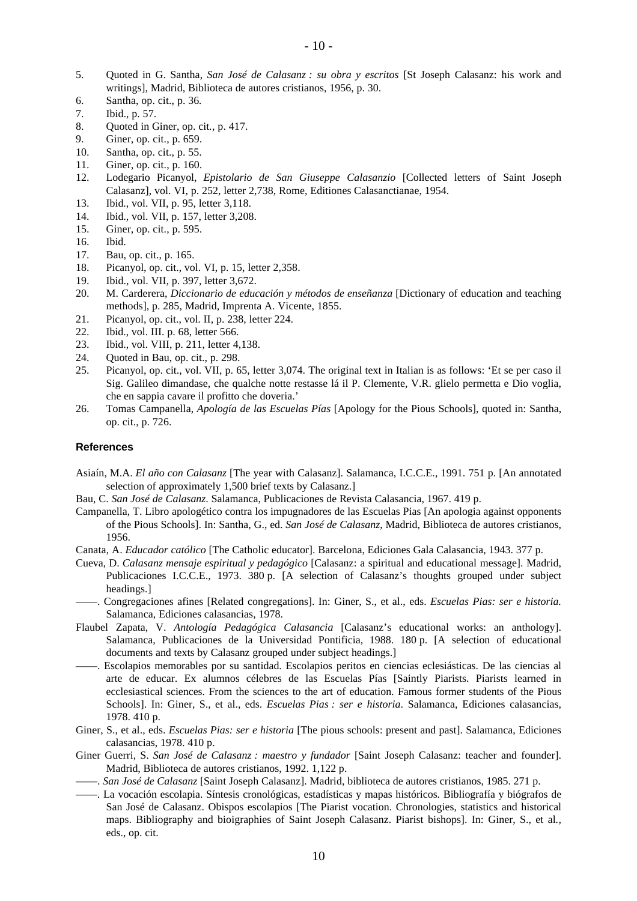- 5. Quoted in G. Santha, *San José de Calasanz : su obra y escritos* [St Joseph Calasanz: his work and writings], Madrid, Biblioteca de autores cristianos, 1956, p. 30.
- 6. Santha, op. cit., p. 36*.*
- 7. Ibid., p. 57.
- 8. Quoted in Giner, op. cit*.*, p. 417.
- 9. Giner, op. cit., p. 659.
- 10. Santha, op. cit., p. 55.
- 11. Giner, op. cit., p. 160.
- 12. Lodegario Picanyol, *Epistolario de San Giuseppe Calasanzio* [Collected letters of Saint Joseph Calasanz], vol. VI, p. 252, letter 2,738, Rome, Editiones Calasanctianae, 1954.
- 13. Ibid., vol. VII, p. 95, letter 3,118.
- 14. Ibid., vol. VII, p. 157, letter 3,208.
- 15. Giner, op. cit., p. 595.
- 16. Ibid.
- 17. Bau, op. cit., p. 165.
- 18. Picanyol, op. cit., vol. VI, p. 15, letter 2,358.
- 19. Ibid., vol. VII, p. 397, letter 3,672.
- 20. M. Carderera, *Diccionario de educación y métodos de enseñanza* [Dictionary of education and teaching methods], p. 285, Madrid, Imprenta A. Vicente, 1855.
- 21. Picanyol, op. cit., vol. II, p. 238, letter 224.
- 22. Ibid., vol. III. p. 68, letter 566.
- 23. Ibid., vol. VIII, p. 211, letter 4,138.
- 24. Quoted in Bau, op. cit., p. 298.
- 25. Picanyol, op. cit., vol. VII, p. 65, letter 3,074. The original text in Italian is as follows: 'Et se per caso il Sig. Galileo dimandase, che qualche notte restasse lá il P. Clemente, V.R. glielo permetta e Dio voglia, che en sappia cavare il profitto che doveria.'
- 26. Tomas Campanella, *Apología de las Escuelas Pías* [Apology for the Pious Schools], quoted in: Santha, op. cit., p. 726.

#### **References**

- Asiaín, M.A. *El año con Calasanz* [The year with Calasanz]. Salamanca, I.C.C.E., 1991. 751 p. [An annotated selection of approximately 1,500 brief texts by Calasanz.]
- Bau, C. *San José de Calasanz*. Salamanca, Publicaciones de Revista Calasancia, 1967. 419 p.
- Campanella, T. Libro apologético contra los impugnadores de las Escuelas Pias [An apologia against opponents of the Pious Schools]. In: Santha, G., ed. *San José de Calasanz*, Madrid, Biblioteca de autores cristianos, 1956.
- Canata, A. *Educador católico* [The Catholic educator]. Barcelona, Ediciones Gala Calasancia, 1943. 377 p.
- Cueva, D. *Calasanz mensaje espiritual y pedagógico* [Calasanz: a spiritual and educational message]. Madrid, Publicaciones I.C.C.E., 1973. 380 p. [A selection of Calasanz's thoughts grouped under subject headings.]
- ——. Congregaciones afines [Related congregations]. In: Giner, S., et al., eds. *Escuelas Pias: ser e historia.* Salamanca, Ediciones calasancias, 1978.
- Flaubel Zapata, V. *Antología Pedagógica Calasancia* [Calasanz's educational works: an anthology]. Salamanca, Publicaciones de la Universidad Pontificia, 1988. 180 p. [A selection of educational documents and texts by Calasanz grouped under subject headings.]
- ——. Escolapios memorables por su santidad. Escolapios peritos en ciencias eclesiásticas. De las ciencias al arte de educar. Ex alumnos célebres de las Escuelas Pías [Saintly Piarists. Piarists learned in ecclesiastical sciences. From the sciences to the art of education. Famous former students of the Pious Schools]. In: Giner, S., et al., eds. *Escuelas Pias : ser e historia*. Salamanca, Ediciones calasancias, 1978. 410 p.
- Giner, S., et al., eds. *Escuelas Pias: ser e historia* [The pious schools: present and past]. Salamanca, Ediciones calasancias, 1978. 410 p.
- Giner Guerri, S. *San José de Calasanz : maestro y fundador* [Saint Joseph Calasanz: teacher and founder]. Madrid, Biblioteca de autores cristianos, 1992. 1,122 p.
- ——. *San José de Calasanz* [Saint Joseph Calasanz]. Madrid, biblioteca de autores cristianos, 1985. 271 p.
- ——. La vocación escolapia. Síntesis cronológicas, estadísticas y mapas históricos. Bibliografía y biógrafos de San José de Calasanz. Obispos escolapios [The Piarist vocation. Chronologies, statistics and historical maps. Bibliography and bioigraphies of Saint Joseph Calasanz. Piarist bishops]. In: Giner, S., et al*.,* eds., op. cit.